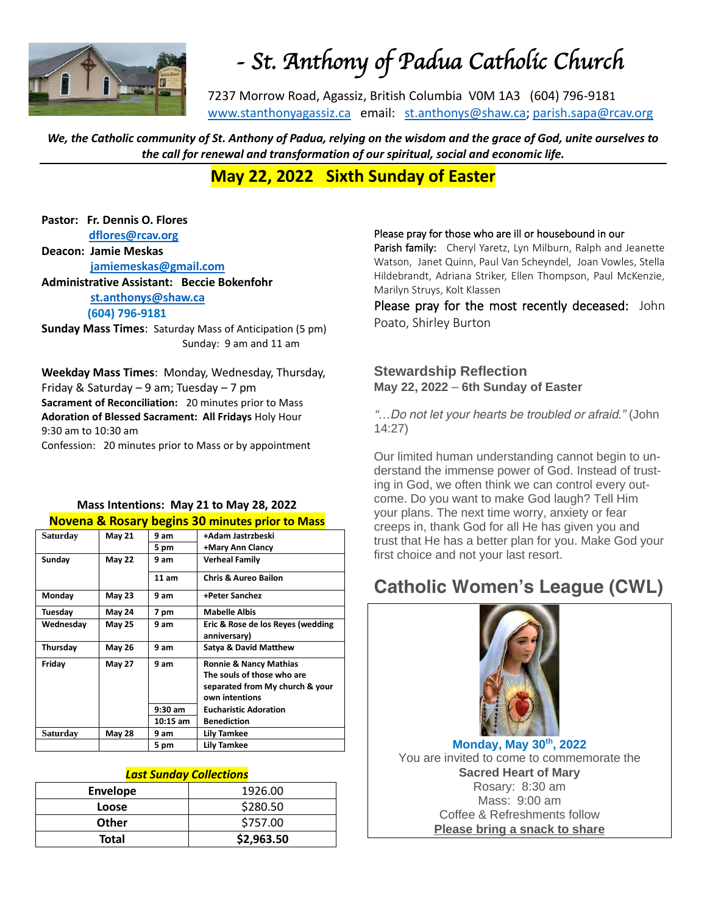

# *- St. Anthony of Padua Catholic Church*

7237 Morrow Road, Agassiz, British Columbia V0M 1A3 (604) 796-9181 [www.stanthonyagassiz.ca](http://www.stanthonyagassiz.ca/) email: [st.anthonys@shaw.ca;](mailto:st.anthonys@shaw.ca) [parish.sapa@rcav.org](mailto:parish.sapa@rcav.org) 

*We, the Catholic community of St. Anthony of Padua, relying on the wisdom and the grace of God, unite ourselves to the call for renewal and transformation of our spiritual, social and economic life.*

### **May 22, 2022 Sixth Sunday of Easter**

**Pastor: Fr. Dennis O. Flores [dflores@rcav.org](mailto:dflores@rcav.org)**

**Deacon: Jamie Meskas [jamiemeskas@gmail.com](mailto:jamiemeskas@gmail.com) Administrative Assistant: Beccie Bokenfohr [st.anthonys@shaw.ca](mailto:st.anthonys@shaw.ca) (604) 796-9181**

**Sunday Mass Times**: Saturday Mass of Anticipation (5 pm) Sunday: 9 am and 11 am

**Weekday Mass Times**: Monday, Wednesday, Thursday, Friday & Saturday – 9 am; Tuesday – 7 pm **Sacrament of Reconciliation:** 20 minutes prior to Mass **Adoration of Blessed Sacrament: All Fridays** Holy Hour 9:30 am to 10:30 am Confession: 20 minutes prior to Mass or by appointment

### **Mass Intentions: May 21 to May 28, 2022 Novena & Rosary begins 30 minutes prior to Mass**

| Saturday  | <b>May 21</b> | 9 am       | +Adam Jastrzbeski                                                                                                    |
|-----------|---------------|------------|----------------------------------------------------------------------------------------------------------------------|
|           |               | 5 pm       | +Mary Ann Clancy                                                                                                     |
| Sunday    | <b>May 22</b> | 9 am       | <b>Verheal Family</b>                                                                                                |
|           |               | 11 am      | <b>Chris &amp; Aureo Bailon</b>                                                                                      |
| Monday    | <b>May 23</b> | 9 am       | +Peter Sanchez                                                                                                       |
| Tuesday   | <b>May 24</b> | 7 pm       | <b>Mabelle Albis</b>                                                                                                 |
| Wednesday | <b>May 25</b> | 9 am       | Eric & Rose de los Reyes (wedding<br>anniversary)                                                                    |
| Thursday  | <b>May 26</b> | 9 am       | <b>Satya &amp; David Matthew</b>                                                                                     |
| Friday    | <b>May 27</b> | 9 am       | <b>Ronnie &amp; Nancy Mathias</b><br>The souls of those who are<br>separated from My church & your<br>own intentions |
|           |               | $9:30$ am  | <b>Eucharistic Adoration</b>                                                                                         |
|           |               | $10:15$ am | <b>Benediction</b>                                                                                                   |
| Saturday  | <b>May 28</b> | 9 am       | <b>Lily Tamkee</b>                                                                                                   |
|           |               | 5 pm       | <b>Lily Tamkee</b>                                                                                                   |

#### *Last Sunday Collections*

| <b>Envelope</b> | 1926.00    |
|-----------------|------------|
| Loose           | \$280.50   |
| <b>Other</b>    | \$757.00   |
| Total           | \$2,963.50 |

#### Please pray for those who are ill or housebound in our

Parish family: Cheryl Yaretz, Lyn Milburn, Ralph and Jeanette Watson, Janet Quinn, Paul Van Scheyndel, Joan Vowles, Stella Hildebrandt, Adriana Striker, Ellen Thompson, Paul McKenzie, Marilyn Struys, Kolt Klassen

Please pray for the most recently deceased: John Poato, Shirley Burton

### **Stewardship Reflection May 22, 2022** – **6th Sunday of Easter**

*"…Do not let your hearts be troubled or afraid." (John 14:27)*

Our limited human understanding cannot begin to understand the immense power of God. Instead of trusting in God, we often think we can control every outcome. Do you want to make God laugh? Tell Him your plans. The next time worry, anxiety or fear creeps in, thank God for all He has given you and trust that He has a better plan for you. Make God your first choice and not your last resort.

# **Catholic Women's League (CWL)**



**Monday, May 30th, 2022** *You are invited to come to commemorate the Sacred Heart of Mary*  Rosary: 8:30 am Mass: 9:00 am Coffee & Refreshments follow *Please bring a snack to share*